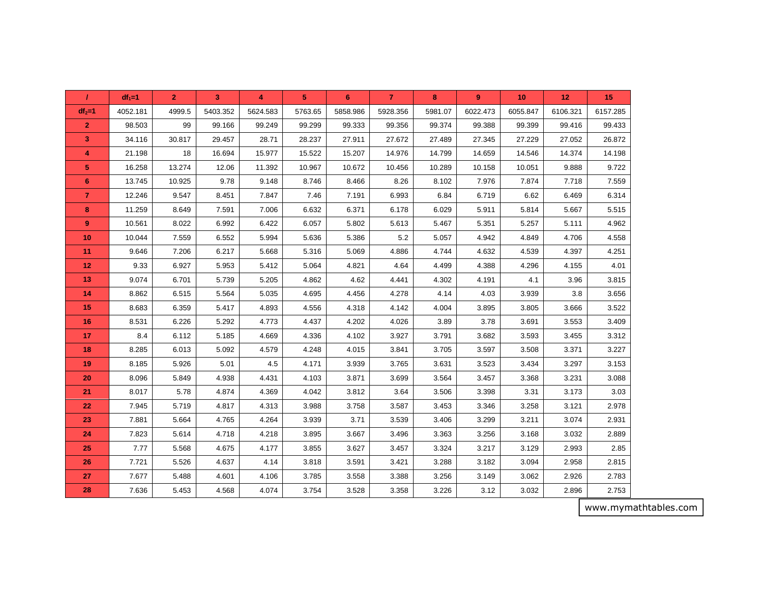| 7               | $df_1 = 1$ | $\mathbf{2}$ | 3        | 4        | 5       | 6        | $\overline{7}$ | 8       | $\boldsymbol{9}$ | 10       | 12       | 15       |
|-----------------|------------|--------------|----------|----------|---------|----------|----------------|---------|------------------|----------|----------|----------|
| $df_2=1$        | 4052.181   | 4999.5       | 5403.352 | 5624.583 | 5763.65 | 5858.986 | 5928.356       | 5981.07 | 6022.473         | 6055.847 | 6106.321 | 6157.285 |
| $\overline{2}$  | 98.503     | 99           | 99.166   | 99.249   | 99.299  | 99.333   | 99.356         | 99.374  | 99.388           | 99.399   | 99.416   | 99.433   |
| $\overline{3}$  | 34.116     | 30.817       | 29.457   | 28.71    | 28.237  | 27.911   | 27.672         | 27.489  | 27.345           | 27.229   | 27.052   | 26.872   |
| $\overline{4}$  | 21.198     | 18           | 16.694   | 15.977   | 15.522  | 15.207   | 14.976         | 14.799  | 14.659           | 14.546   | 14.374   | 14.198   |
| 5               | 16.258     | 13.274       | 12.06    | 11.392   | 10.967  | 10.672   | 10.456         | 10.289  | 10.158           | 10.051   | 9.888    | 9.722    |
| 6               | 13.745     | 10.925       | 9.78     | 9.148    | 8.746   | 8.466    | 8.26           | 8.102   | 7.976            | 7.874    | 7.718    | 7.559    |
| $\overline{7}$  | 12.246     | 9.547        | 8.451    | 7.847    | 7.46    | 7.191    | 6.993          | 6.84    | 6.719            | 6.62     | 6.469    | 6.314    |
| 8               | 11.259     | 8.649        | 7.591    | 7.006    | 6.632   | 6.371    | 6.178          | 6.029   | 5.911            | 5.814    | 5.667    | 5.515    |
| 9               | 10.561     | 8.022        | 6.992    | 6.422    | 6.057   | 5.802    | 5.613          | 5.467   | 5.351            | 5.257    | 5.111    | 4.962    |
| 10              | 10.044     | 7.559        | 6.552    | 5.994    | 5.636   | 5.386    | 5.2            | 5.057   | 4.942            | 4.849    | 4.706    | 4.558    |
| 11              | 9.646      | 7.206        | 6.217    | 5.668    | 5.316   | 5.069    | 4.886          | 4.744   | 4.632            | 4.539    | 4.397    | 4.251    |
| 12 <sub>2</sub> | 9.33       | 6.927        | 5.953    | 5.412    | 5.064   | 4.821    | 4.64           | 4.499   | 4.388            | 4.296    | 4.155    | 4.01     |
| 13              | 9.074      | 6.701        | 5.739    | 5.205    | 4.862   | 4.62     | 4.441          | 4.302   | 4.191            | 4.1      | 3.96     | 3.815    |
| 14              | 8.862      | 6.515        | 5.564    | 5.035    | 4.695   | 4.456    | 4.278          | 4.14    | 4.03             | 3.939    | 3.8      | 3.656    |
| 15              | 8.683      | 6.359        | 5.417    | 4.893    | 4.556   | 4.318    | 4.142          | 4.004   | 3.895            | 3.805    | 3.666    | 3.522    |
| 16              | 8.531      | 6.226        | 5.292    | 4.773    | 4.437   | 4.202    | 4.026          | 3.89    | 3.78             | 3.691    | 3.553    | 3.409    |
| 17              | 8.4        | 6.112        | 5.185    | 4.669    | 4.336   | 4.102    | 3.927          | 3.791   | 3.682            | 3.593    | 3.455    | 3.312    |
| 18              | 8.285      | 6.013        | 5.092    | 4.579    | 4.248   | 4.015    | 3.841          | 3.705   | 3.597            | 3.508    | 3.371    | 3.227    |
| 19              | 8.185      | 5.926        | 5.01     | 4.5      | 4.171   | 3.939    | 3.765          | 3.631   | 3.523            | 3.434    | 3.297    | 3.153    |
| 20              | 8.096      | 5.849        | 4.938    | 4.431    | 4.103   | 3.871    | 3.699          | 3.564   | 3.457            | 3.368    | 3.231    | 3.088    |
| 21              | 8.017      | 5.78         | 4.874    | 4.369    | 4.042   | 3.812    | 3.64           | 3.506   | 3.398            | 3.31     | 3.173    | 3.03     |
| 22              | 7.945      | 5.719        | 4.817    | 4.313    | 3.988   | 3.758    | 3.587          | 3.453   | 3.346            | 3.258    | 3.121    | 2.978    |
| 23              | 7.881      | 5.664        | 4.765    | 4.264    | 3.939   | 3.71     | 3.539          | 3.406   | 3.299            | 3.211    | 3.074    | 2.931    |
| 24              | 7.823      | 5.614        | 4.718    | 4.218    | 3.895   | 3.667    | 3.496          | 3.363   | 3.256            | 3.168    | 3.032    | 2.889    |
| 25              | 7.77       | 5.568        | 4.675    | 4.177    | 3.855   | 3.627    | 3.457          | 3.324   | 3.217            | 3.129    | 2.993    | 2.85     |
| 26              | 7.721      | 5.526        | 4.637    | 4.14     | 3.818   | 3.591    | 3.421          | 3.288   | 3.182            | 3.094    | 2.958    | 2.815    |
| 27              | 7.677      | 5.488        | 4.601    | 4.106    | 3.785   | 3.558    | 3.388          | 3.256   | 3.149            | 3.062    | 2.926    | 2.783    |
| 28              | 7.636      | 5.453        | 4.568    | 4.074    | 3.754   | 3.528    | 3.358          | 3.226   | 3.12             | 3.032    | 2.896    | 2.753    |

www.mymathtables.com